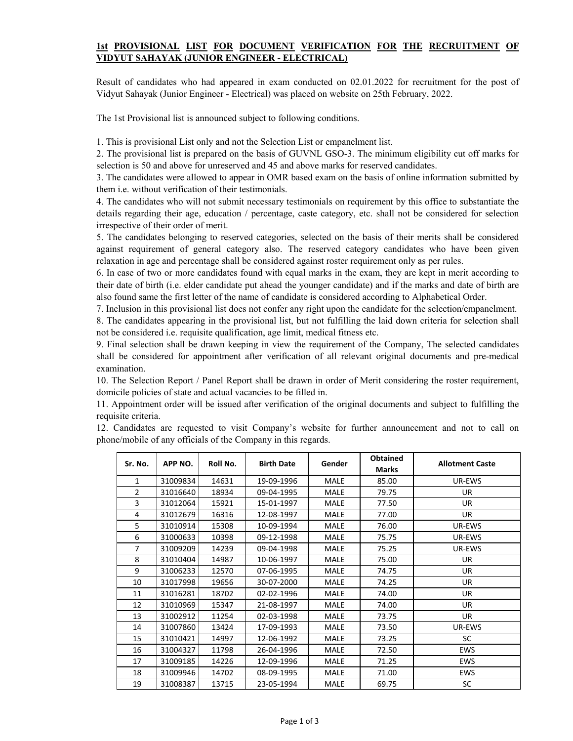## **1st PROVISIONAL LIST FOR DOCUMENT VERIFICATION FOR THE RECRUITMENT OF VIDYUT SAHAYAK (JUNIOR ENGINEER - ELECTRICAL)**

Result of candidates who had appeared in exam conducted on 02.01.2022 for recruitment for the post of Vidyut Sahayak (Junior Engineer - Electrical) was placed on website on 25th February, 2022.

The 1st Provisional list is announced subject to following conditions.

1. This is provisional List only and not the Selection List or empanelment list.

2. The provisional list is prepared on the basis of GUVNL GSO-3. The minimum eligibility cut off marks for selection is 50 and above for unreserved and 45 and above marks for reserved candidates.

3. The candidates were allowed to appear in OMR based exam on the basis of online information submitted by them i.e. without verification of their testimonials.

4. The candidates who will not submit necessary testimonials on requirement by this office to substantiate the details regarding their age, education / percentage, caste category, etc. shall not be considered for selection irrespective of their order of merit.

5. The candidates belonging to reserved categories, selected on the basis of their merits shall be considered against requirement of general category also. The reserved category candidates who have been given relaxation in age and percentage shall be considered against roster requirement only as per rules.

6. In case of two or more candidates found with equal marks in the exam, they are kept in merit according to their date of birth (i.e. elder candidate put ahead the younger candidate) and if the marks and date of birth are also found same the first letter of the name of candidate is considered according to Alphabetical Order.

7. Inclusion in this provisional list does not confer any right upon the candidate for the selection/empanelment.

8. The candidates appearing in the provisional list, but not fulfilling the laid down criteria for selection shall not be considered i.e. requisite qualification, age limit, medical fitness etc.

9. Final selection shall be drawn keeping in view the requirement of the Company, The selected candidates shall be considered for appointment after verification of all relevant original documents and pre-medical examination.

10. The Selection Report / Panel Report shall be drawn in order of Merit considering the roster requirement, domicile policies of state and actual vacancies to be filled in.

11. Appointment order will be issued after verification of the original documents and subject to fulfilling the requisite criteria.

12. Candidates are requested to visit Company's website for further announcement and not to call on phone/mobile of any officials of the Company in this regards.

| Sr. No.        | APP NO.  | Roll No. | <b>Birth Date</b> | Gender      | <b>Obtained</b> | <b>Allotment Caste</b> |
|----------------|----------|----------|-------------------|-------------|-----------------|------------------------|
|                |          |          |                   |             | <b>Marks</b>    |                        |
| $\mathbf{1}$   | 31009834 | 14631    | 19-09-1996        | <b>MALE</b> | 85.00           | UR-EWS                 |
| $\overline{2}$ | 31016640 | 18934    | 09-04-1995        | <b>MALE</b> | 79.75           | UR                     |
| 3              | 31012064 | 15921    | 15-01-1997        | <b>MALE</b> | 77.50           | UR                     |
| 4              | 31012679 | 16316    | 12-08-1997        | <b>MALE</b> | 77.00           | <b>UR</b>              |
| 5              | 31010914 | 15308    | 10-09-1994        | <b>MALE</b> | 76.00           | UR-EWS                 |
| 6              | 31000633 | 10398    | 09-12-1998        | <b>MALE</b> | 75.75           | UR-EWS                 |
| $\overline{7}$ | 31009209 | 14239    | 09-04-1998        | <b>MALE</b> | 75.25           | UR-EWS                 |
| 8              | 31010404 | 14987    | 10-06-1997        | <b>MALE</b> | 75.00           | UR                     |
| 9              | 31006233 | 12570    | 07-06-1995        | <b>MALE</b> | 74.75           | <b>UR</b>              |
| 10             | 31017998 | 19656    | 30-07-2000        | <b>MALE</b> | 74.25           | UR                     |
| 11             | 31016281 | 18702    | 02-02-1996        | <b>MALE</b> | 74.00           | UR                     |
| 12             | 31010969 | 15347    | 21-08-1997        | <b>MALE</b> | 74.00           | <b>UR</b>              |
| 13             | 31002912 | 11254    | 02-03-1998        | <b>MALE</b> | 73.75           | UR                     |
| 14             | 31007860 | 13424    | 17-09-1993        | <b>MALE</b> | 73.50           | UR-EWS                 |
| 15             | 31010421 | 14997    | 12-06-1992        | <b>MALE</b> | 73.25           | SC                     |
| 16             | 31004327 | 11798    | 26-04-1996        | <b>MALE</b> | 72.50           | <b>EWS</b>             |
| 17             | 31009185 | 14226    | 12-09-1996        | <b>MALE</b> | 71.25           | <b>EWS</b>             |
| 18             | 31009946 | 14702    | 08-09-1995        | <b>MALE</b> | 71.00           | <b>EWS</b>             |
| 19             | 31008387 | 13715    | 23-05-1994        | MALE        | 69.75           | SC                     |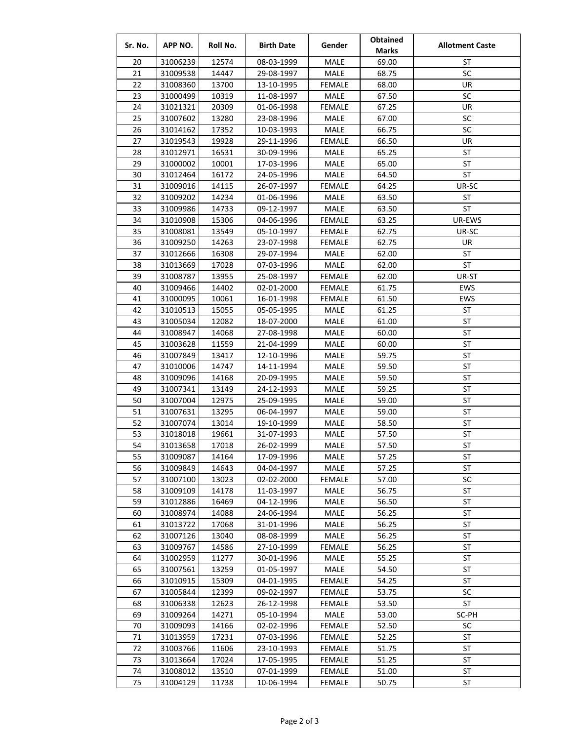| Sr. No. | APP NO.  | Roll No. | <b>Birth Date</b> | Gender        | <b>Obtained</b><br>Marks | <b>Allotment Caste</b> |
|---------|----------|----------|-------------------|---------------|--------------------------|------------------------|
| 20      | 31006239 | 12574    | 08-03-1999        | MALE          | 69.00                    | ST                     |
| 21      | 31009538 | 14447    | 29-08-1997        | MALE          | 68.75                    | SC                     |
| 22      | 31008360 | 13700    | 13-10-1995        | <b>FEMALE</b> | 68.00                    | UR                     |
| 23      | 31000499 | 10319    | 11-08-1997        | <b>MALE</b>   | 67.50                    | SC                     |
| 24      | 31021321 | 20309    | 01-06-1998        | <b>FEMALE</b> | 67.25                    | UR                     |
| 25      | 31007602 | 13280    | 23-08-1996        | MALE          | 67.00                    | SC                     |
| 26      | 31014162 | 17352    | 10-03-1993        | <b>MALE</b>   | 66.75                    | SC                     |
| 27      | 31019543 | 19928    | 29-11-1996        | <b>FEMALE</b> | 66.50                    | UR                     |
| 28      | 31012971 | 16531    | 30-09-1996        | MALE          | 65.25                    | ST                     |
| 29      | 31000002 | 10001    | 17-03-1996        | MALE          | 65.00                    | ST                     |
| 30      | 31012464 | 16172    | 24-05-1996        | MALE          | 64.50                    | ST                     |
| 31      | 31009016 | 14115    | 26-07-1997        | <b>FEMALE</b> | 64.25                    | UR-SC                  |
| 32      | 31009202 | 14234    | 01-06-1996        | MALE          | 63.50                    | ST                     |
| 33      | 31009986 | 14733    | 09-12-1997        | MALE          | 63.50                    | ST                     |
| 34      | 31010908 | 15306    | 04-06-1996        | <b>FEMALE</b> | 63.25                    | UR-EWS                 |
| 35      | 31008081 | 13549    | 05-10-1997        | <b>FEMALE</b> | 62.75                    | UR-SC                  |
| 36      | 31009250 | 14263    | 23-07-1998        | <b>FEMALE</b> | 62.75                    | UR                     |
| 37      | 31012666 | 16308    | 29-07-1994        | MALE          | 62.00                    | <b>ST</b>              |
| 38      | 31013669 | 17028    | 07-03-1996        | MALE          | 62.00                    | <b>ST</b>              |
| 39      | 31008787 | 13955    | 25-08-1997        | <b>FEMALE</b> | 62.00                    | UR-ST                  |
| 40      | 31009466 | 14402    | 02-01-2000        | <b>FEMALE</b> | 61.75                    | EWS                    |
| 41      | 31000095 | 10061    | 16-01-1998        | <b>FEMALE</b> | 61.50                    | EWS                    |
| 42      | 31010513 | 15055    | 05-05-1995        | MALE          | 61.25                    | <b>ST</b>              |
| 43      | 31005034 | 12082    | 18-07-2000        | <b>MALE</b>   | 61.00                    | ST                     |
| 44      | 31008947 | 14068    | 27-08-1998        | MALE          | 60.00                    | ST                     |
| 45      | 31003628 | 11559    | 21-04-1999        | MALE          | 60.00                    | ST                     |
| 46      | 31007849 | 13417    | 12-10-1996        | MALE          | 59.75                    | ST                     |
| 47      | 31010006 | 14747    | 14-11-1994        | MALE          | 59.50                    | ST                     |
| 48      | 31009096 | 14168    | 20-09-1995        | MALE          | 59.50                    | ST                     |
| 49      | 31007341 | 13149    | 24-12-1993        | MALE          | 59.25                    | ST                     |
| 50      | 31007004 | 12975    | 25-09-1995        | MALE          | 59.00                    | ST                     |
| 51      | 31007631 | 13295    | 06-04-1997        | MALE          | 59.00                    | <b>ST</b>              |
| 52      | 31007074 | 13014    | 19-10-1999        | MALE          | 58.50                    | <b>ST</b>              |
| 53      | 31018018 | 19661    | 31-07-1993        | MALE          | 57.50                    | ST                     |
| 54      | 31013658 | 17018    | 26-02-1999        | MALE          | 57.50                    | ST                     |
| 55      | 31009087 | 14164    | 17-09-1996        | <b>MALE</b>   | 57.25                    | ST                     |
| 56      | 31009849 | 14643    | 04-04-1997        | MALE          | 57.25                    | ST                     |
| 57      | 31007100 | 13023    | 02-02-2000        | <b>FEMALE</b> | 57.00                    | SC                     |
| 58      | 31009109 | 14178    | 11-03-1997        | MALE          | 56.75                    | ST                     |
| 59      | 31012886 | 16469    | 04-12-1996        | MALE          | 56.50                    | ST                     |
| 60      | 31008974 | 14088    | 24-06-1994        | MALE          | 56.25                    | ST                     |
| 61      | 31013722 | 17068    | 31-01-1996        | MALE          | 56.25                    | ST                     |
| 62      | 31007126 | 13040    | 08-08-1999        | MALE          | 56.25                    | ST                     |
| 63      | 31009767 | 14586    | 27-10-1999        | <b>FEMALE</b> | 56.25                    | <b>ST</b>              |
| 64      | 31002959 | 11277    | 30-01-1996        | MALE          | 55.25                    | <b>ST</b>              |
| 65      | 31007561 | 13259    | 01-05-1997        | MALE          | 54.50                    | <b>ST</b>              |
| 66      | 31010915 | 15309    | 04-01-1995        | <b>FEMALE</b> | 54.25                    | <b>ST</b>              |
| 67      | 31005844 | 12399    | 09-02-1997        | <b>FEMALE</b> | 53.75                    | <b>SC</b>              |
| 68      | 31006338 | 12623    | 26-12-1998        | <b>FEMALE</b> | 53.50                    | ST                     |
| 69      | 31009264 | 14271    | 05-10-1994        | MALE          | 53.00                    | SC-PH                  |
| 70      | 31009093 | 14166    | 02-02-1996        | <b>FEMALE</b> | 52.50                    | <b>SC</b>              |
| 71      | 31013959 | 17231    | 07-03-1996        | <b>FEMALE</b> | 52.25                    | <b>ST</b>              |
| 72      | 31003766 | 11606    | 23-10-1993        | <b>FEMALE</b> | 51.75                    | ST                     |
| 73      | 31013664 | 17024    | 17-05-1995        | <b>FEMALE</b> | 51.25                    | ST                     |
| 74      | 31008012 | 13510    | 07-01-1999        | <b>FEMALE</b> | 51.00                    | ST                     |
| 75      | 31004129 | 11738    | 10-06-1994        | <b>FEMALE</b> | 50.75                    | ST                     |